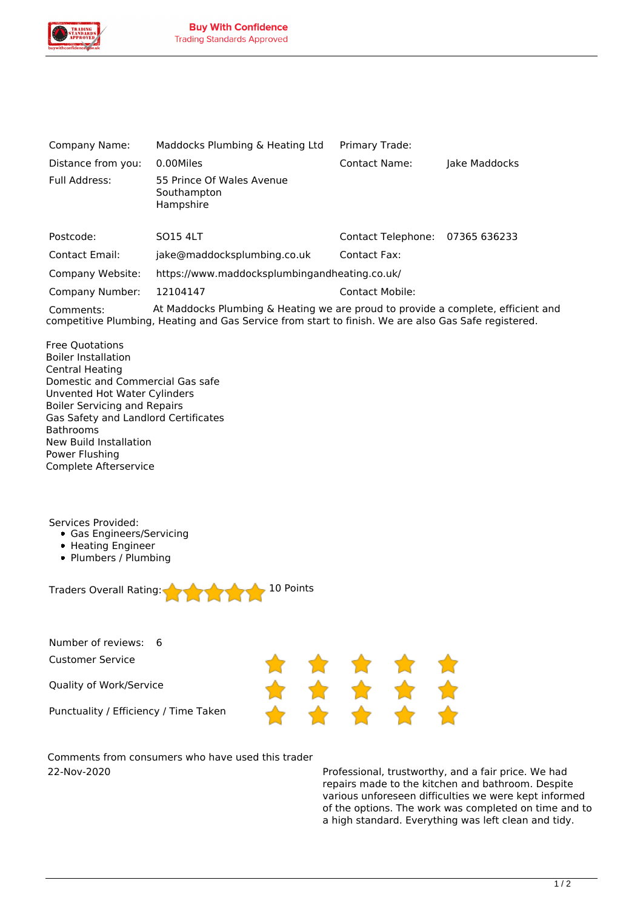

| Company Name:         | Maddocks Plumbing & Heating Ltd                       | Primary Trade:            |               |
|-----------------------|-------------------------------------------------------|---------------------------|---------------|
| Distance from you:    | 0.00Miles                                             | Contact Name:             | Jake Maddocks |
| Full Address:         | 55 Prince Of Wales Avenue<br>Southampton<br>Hampshire |                           |               |
| Postcode:             | <b>SO15 4LT</b>                                       | <b>Contact Telephone:</b> | 07365 636233  |
| <b>Contact Email:</b> | jake@maddocksplumbing.co.uk                           | Contact Fax:              |               |
| Company Website:      | https://www.maddocksplumbingandheating.co.uk/         |                           |               |
| Company Number:       | 12104147                                              | <b>Contact Mobile:</b>    |               |
|                       |                                                       |                           |               |

*Comments: At Maddocks Plumbing & Heating we are proud to provide a complete, efficient and competitive Plumbing, Heating and Gas Service from start to finish. We are also Gas Safe registered.*

*Free Quotations Boiler Installation Central Heating Domestic and Commercial Gas safe Unvented Hot Water Cylinders Boiler Servicing and Repairs Gas Safety and Landlord Certificates Bathrooms New Build Installation Power Flushing Complete Afterservice*

*Services Provided:*

- *Gas Engineers/Servicing*
- *Heating Engineer*
- *Plumbers / Plumbing*



*Number of reviews: 6 Customer Service*

*Quality of Work/Service*

*Punctuality / Efficiency / Time Taken*



*Comments from consumers who have used this trader 22-Nov-2020 Professional, trustworthy, and a fair price. We had*

*repairs made to the kitchen and bathroom. Despite various unforeseen difficulties we were kept informed of the options. The work was completed on time and to a high standard. Everything was left clean and tidy.*